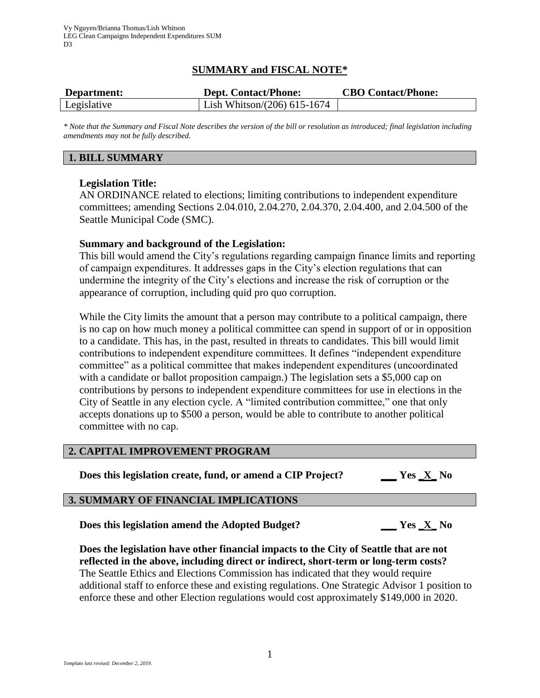# **SUMMARY and FISCAL NOTE\***

| Department: | <b>Dept. Contact/Phone:</b>    | <b>CBO Contact/Phone:</b> |
|-------------|--------------------------------|---------------------------|
| Legislative | Lish Whitson/ $(206)$ 615-1674 |                           |

*\* Note that the Summary and Fiscal Note describes the version of the bill or resolution as introduced; final legislation including amendments may not be fully described.*

## **1. BILL SUMMARY**

## **Legislation Title:**

AN ORDINANCE related to elections; limiting contributions to independent expenditure committees; amending Sections 2.04.010, 2.04.270, 2.04.370, 2.04.400, and 2.04.500 of the Seattle Municipal Code (SMC).

## **Summary and background of the Legislation:**

This bill would amend the City's regulations regarding campaign finance limits and reporting of campaign expenditures. It addresses gaps in the City's election regulations that can undermine the integrity of the City's elections and increase the risk of corruption or the appearance of corruption, including quid pro quo corruption.

While the City limits the amount that a person may contribute to a political campaign, there is no cap on how much money a political committee can spend in support of or in opposition to a candidate. This has, in the past, resulted in threats to candidates. This bill would limit contributions to independent expenditure committees. It defines "independent expenditure committee" as a political committee that makes independent expenditures (uncoordinated with a candidate or ballot proposition campaign.) The legislation sets a \$5,000 cap on contributions by persons to independent expenditure committees for use in elections in the City of Seattle in any election cycle. A "limited contribution committee," one that only accepts donations up to \$500 a person, would be able to contribute to another political committee with no cap.

## **2. CAPITAL IMPROVEMENT PROGRAM**

**Does this legislation create, fund, or amend a CIP Project? \_\_\_ Yes \_X\_ No**

# **3. SUMMARY OF FINANCIAL IMPLICATIONS**

**Does this legislation amend the Adopted Budget? \_\_\_ Yes \_X\_ No**

**Does the legislation have other financial impacts to the City of Seattle that are not reflected in the above, including direct or indirect, short-term or long-term costs?** The Seattle Ethics and Elections Commission has indicated that they would require additional staff to enforce these and existing regulations. One Strategic Advisor 1 position to enforce these and other Election regulations would cost approximately \$149,000 in 2020.